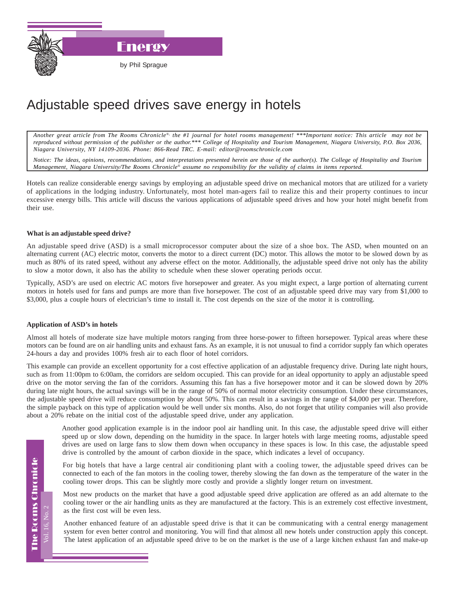

Energy

by Phil Sprague

## Adjustable speed drives save energy in hotels

*Another great article from The Rooms Chronicle*®*, the #1 journal for hotel rooms management! \*\*\*Important notice: This article may not be reproduced without permission of the publisher or the author.\*\*\* College of Hospitality and Tourism Management, Niagara University, P.O. Box 2036, Niagara University, NY 14109-2036. Phone: 866-Read TRC. E-mail: editor@roomschronicle.com*

*Notice: The ideas, opinions, recommendations, and interpretations presented herein are those of the author(s). The College of Hospitality and Tourism Management, Niagara University/The Rooms Chronicle*® *assume no responsibility for the validity of claims in items reported.*

Hotels can realize considerable energy savings by employing an adjustable speed drive on mechanical motors that are utilized for a variety of applications in the lodging industry. Unfortunately, most hotel man-agers fail to realize this and their property continues to incur excessive energy bills. This article will discuss the various applications of adjustable speed drives and how your hotel might benefit from their use.

## **What is an adjustable speed drive?**

An adjustable speed drive (ASD) is a small microprocessor computer about the size of a shoe box. The ASD, when mounted on an alternating current (AC) electric motor, converts the motor to a direct current (DC) motor. This allows the motor to be slowed down by as much as 80% of its rated speed, without any adverse effect on the motor. Additionally, the adjustable speed drive not only has the ability to slow a motor down, it also has the ability to schedule when these slower operating periods occur.

Typically, ASD's are used on electric AC motors five horsepower and greater. As you might expect, a large portion of alternating current motors in hotels used for fans and pumps are more than five horsepower. The cost of an adjustable speed drive may vary from \$1,000 to \$3,000, plus a couple hours of electrician's time to install it. The cost depends on the size of the motor it is controlling.

## **Application of ASD's in hotels**

Almost all hotels of moderate size have multiple motors ranging from three horse-power to fifteen horsepower. Typical areas where these motors can be found are on air handling units and exhaust fans. As an example, it is not unusual to find a corridor supply fan which operates 24-hours a day and provides 100% fresh air to each floor of hotel corridors.

This example can provide an excellent opportunity for a cost effective application of an adjustable frequency drive. During late night hours, such as from 11:00pm to 6:00am, the corridors are seldom occupied. This can provide for an ideal opportunity to apply an adjustable speed drive on the motor serving the fan of the corridors. Assuming this fan has a five horsepower motor and it can be slowed down by 20% during late night hours, the actual savings will be in the range of 50% of normal motor electricity consumption. Under these circumstances, the adjustable speed drive will reduce consumption by about 50%. This can result in a savings in the range of \$4,000 per year. Therefore, the simple payback on this type of application would be well under six months. Also, do not forget that utility companies will also provide about a 20% rebate on the initial cost of the adjustable speed drive, under any application.

Another good application example is in the indoor pool air handling unit. In this case, the adjustable speed drive will either speed up or slow down, depending on the humidity in the space. In larger hotels with large meeting rooms, adjustable speed drives are used on large fans to slow them down when occupancy in these spaces is low. In this case, the adjustable speed drive is controlled by the amount of carbon dioxide in the space, which indicates a level of occupancy.

For big hotels that have a large central air conditioning plant with a cooling tower, the adjustable speed drives can be connected to each of the fan motors in the cooling tower, thereby slowing the fan down as the temperature of the water in the cooling tower drops. This can be slightly more costly and provide a slightly longer return on investment.

Most new products on the market that have a good adjustable speed drive application are offered as an add alternate to the cooling tower or the air handling units as they are manufactured at the factory. This is an extremely cost effective investment, as the first cost will be even less.

Another enhanced feature of an adjustable speed drive is that it can be communicating with a central energy management system for even better control and monitoring. You will find that almost all new hotels under construction apply this concept. The latest application of an adjustable speed drive to be on the market is the use of a large kitchen exhaust fan and make-up

Vol. 16, No. 2